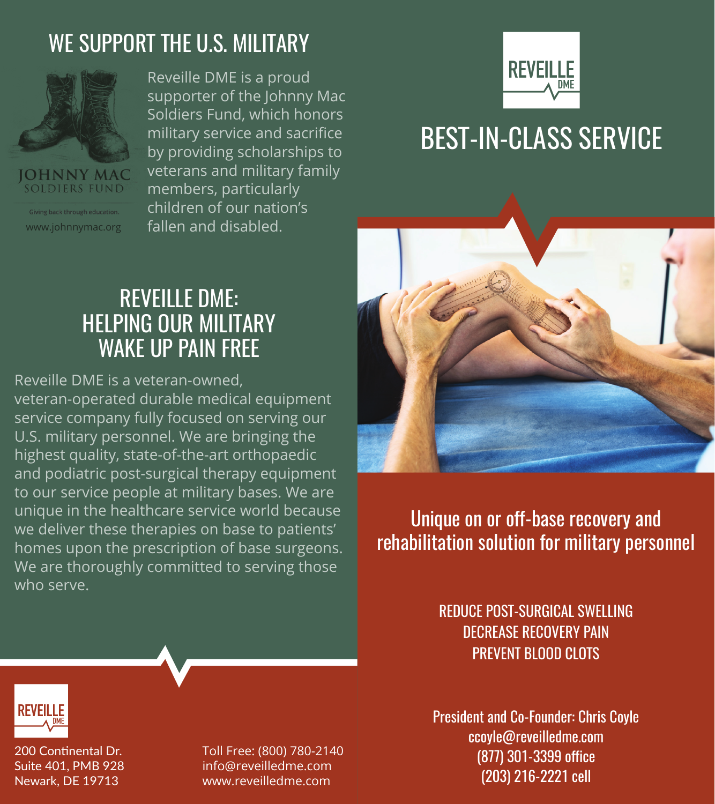### WE SUPPORT THE U.S. MILITARY



**OHNNY MAC SOLDIERS FUND** 

Giving back through education.

Reveille DME is a proud supporter of the Johnny Mac Soldiers Fund, which honors military service and sacrifice by providing scholarships to veterans and military family members, particularly children of our nation's www.johnnymac.org fallen and disabled.



# BEST-IN-CLASS SERVICE

### REVEILLE DME: HELPING OUR MILITARY WAKE UP PAIN FREE

Reveille DME is a veteran-owned, veteran-operated durable medical equipment service company fully focused on serving our U.S. military personnel. We are bringing the highest quality, state-of-the-art orthopaedic and podiatric post-surgical therapy equipment to our service people at military bases. We are unique in the healthcare service world because we deliver these therapies on base to patients' homes upon the prescription of base surgeons. We are thoroughly committed to serving those who serve.



Unique on or off-base recovery and rehabilitation solution for military personnel

> REDUCE POST-SURGICAL SWELLING DECREASE RECOVERY PAIN PREVENT BLOOD CLOTS

President and Co-Founder: Chris Coyle ccoyle@reveilledme.com (877) 301-3399 office (203) 216-2221 cell



200 Continental Dr. Suite 401, PMB 928 Newark, DE 19713

Toll Free: (800) 780-2140 info@reveilledme.com www.reveilledme.com